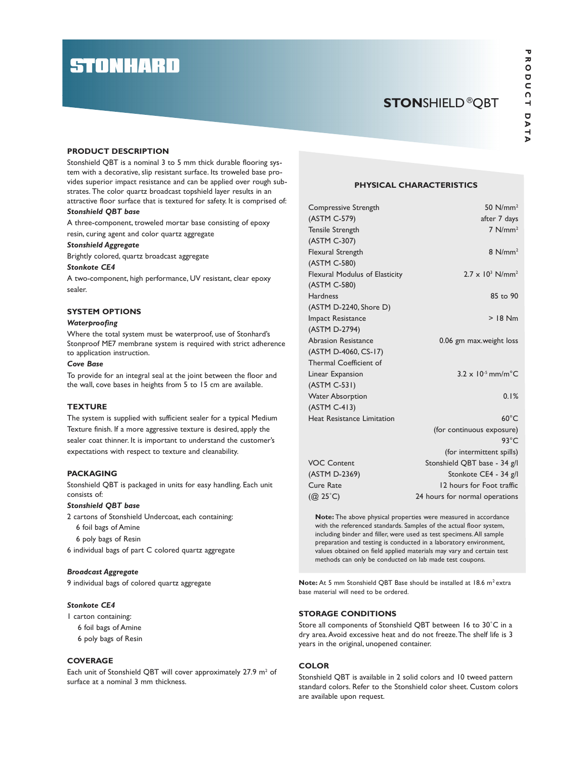# **STONHARD**

## STONSHIELD®QBT

 $\overline{\mathbf{v}}$  , where  $\overline{\mathbf{v}}$ 

#### PRODUCT DESCRIPTION

Stonshield QBT is a nominal 3 to 5 mm thick durable flooring system with a decorative, slip resistant surface. Its troweled base provides superior impact resistance and can be applied over rough substrates. The color quartz broadcast topshield layer results in an attractive floor surface that is textured for safety. It is comprised of:

#### Stonshield QBT base

A three-component, troweled mortar base consisting of epoxy resin, curing agent and color quartz aggregate

#### Stonshield Aggregate

Brightly colored, quartz broadcast aggregate

#### Stonkote CE4

A two-component, high performance, UV resistant, clear epoxy sealer.

#### SYSTEM OPTIONS

#### **Waterproofing**

Where the total system must be waterproof, use of Stonhard's Stonproof ME7 membrane system is required with strict adherence to application instruction.

#### Cove Base

To provide for an integral seal at the joint between the floor and the wall, cove bases in heights from 5 to 15 cm are available.

#### **TEXTURE**

The system is supplied with sufficient sealer for a typical Medium Texture finish. If a more aggressive texture is desired, apply the sealer coat thinner. It is important to understand the customer's expectations with respect to texture and cleanability.

#### PACKAGING

Stonshield QBT is packaged in units for easy handling. Each unit consists of:

#### Stonshield QBT base

2 cartons of Stonshield Undercoat, each containing:

- 6 foil bags of Amine
- 6 poly bags of Resin

6 individual bags of part C colored quartz aggregate

#### Broadcast Aggregate

9 individual bags of colored quartz aggregate

#### Stonkote CE4

1 carton containing:

6 foil bags of Amine

6 poly bags of Resin

#### **COVERAGE**

Each unit of Stonshield QBT will cover approximately 27.9 m<sup>2</sup> of surface at a nominal 3 mm thickness.

#### PHYSICAL CHARACTERISTICS

| Compressive Strength              | 50 $N/mm^2$                               |
|-----------------------------------|-------------------------------------------|
| (ASTM C-579)                      | after 7 days                              |
| <b>Tensile Strength</b>           | $7$ N/mm <sup>2</sup>                     |
| (ASTM C-307)                      |                                           |
| <b>Flexural Strength</b>          | $8$ N/mm <sup>2</sup>                     |
| (ASTM C-580)                      |                                           |
| Flexural Modulus of Elasticity    | $2.7 \times 10^3$ N/mm <sup>2</sup>       |
| (ASTM C-580)                      |                                           |
| <b>Hardness</b>                   | 85 to 90                                  |
| (ASTM D-2240, Shore D)            |                                           |
| <b>Impact Resistance</b>          | $>$ 18 Nm                                 |
| (ASTM D-2794)                     |                                           |
| <b>Abrasion Resistance</b>        | 0.06 gm max.weight loss                   |
| (ASTM D-4060, CS-17)              |                                           |
| Thermal Coefficient of            |                                           |
| Linear Expansion                  | $3.2 \times 10^{-5}$ mm/m <sup>o</sup> C. |
| (ASTM C-531)                      |                                           |
| <b>Water Absorption</b>           | 0.1%                                      |
| (ASTM C-413)                      |                                           |
| <b>Heat Resistance Limitation</b> | $60^{\circ}$ C                            |
|                                   | (for continuous exposure)                 |
|                                   | $93^{\circ}$ C                            |
|                                   | (for intermittent spills)                 |
| <b>VOC Content</b>                | Stonshield QBT base - 34 g/l              |
| (ASTM D-2369)                     | Stonkote CE4 - 34 g/l                     |
| Cure Rate                         | 12 hours for Foot traffic                 |
| $(Q(25^{\circ}C))$                | 24 hours for normal operations            |

Note: The above physical properties were measured in accordance with the referenced standards. Samples of the actual floor system, including binder and filler, were used as test specimens. All sample preparation and testing is conducted in a laboratory environment, values obtained on field applied materials may vary and certain test methods can only be conducted on lab made test coupons.

Note: At 5 mm Stonshield OBT Base should be installed at 18.6 m<sup>2</sup> extra base material will need to be ordered.

#### STORAGE CONDITIONS

Store all components of Stonshield QBT between 16 to 30˚C in a dry area. Avoid excessive heat and do not freeze. The shelf life is 3 years in the original, unopened container.

### **COLOR**

Stonshield QBT is available in 2 solid colors and 10 tweed pattern standard colors. Refer to the Stonshield color sheet. Custom colors are available upon request.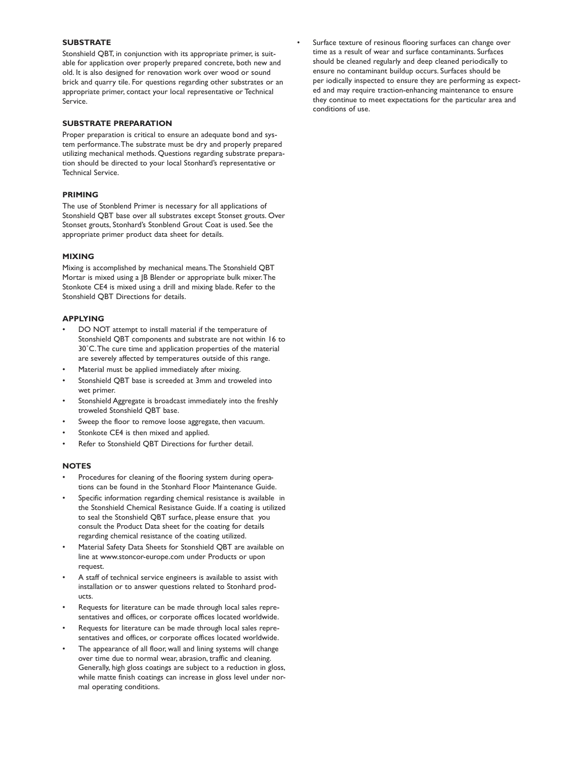#### **SUBSTRATE**

Stonshield QBT, in conjunction with its appropriate primer, is suitable for application over properly prepared concrete, both new and old. It is also designed for renovation work over wood or sound brick and quarry tile. For questions regarding other substrates or an appropriate primer, contact your local representative or Technical Service.

#### SUBSTRATE PREPARATION

Proper preparation is critical to ensure an adequate bond and system performance. The substrate must be dry and properly prepared utilizing mechanical methods. Questions regarding substrate preparation should be directed to your local Stonhard's representative or Technical Service.

#### PRIMING

The use of Stonblend Primer is necessary for all applications of Stonshield QBT base over all substrates except Stonset grouts. Over Stonset grouts, Stonhard's Stonblend Grout Coat is used. See the appropriate primer product data sheet for details.

#### MIXING

Mixing is accomplished by mechanical means. The Stonshield QBT Mortar is mixed using a JB Blender or appropriate bulk mixer. The Stonkote CE4 is mixed using a drill and mixing blade. Refer to the Stonshield QBT Directions for details.

#### APPLYING

- DO NOT attempt to install material if the temperature of Stonshield QBT components and substrate are not within 16 to 30˚C. The cure time and application properties of the material are severely affected by temperatures outside of this range.
- Material must be applied immediately after mixing.
- Stonshield QBT base is screeded at 3mm and troweled into wet primer.
- Stonshield Aggregate is broadcast immediately into the freshly troweled Stonshield QBT base.
- Sweep the floor to remove loose aggregate, then vacuum.
- Stonkote CE4 is then mixed and applied.
- Refer to Stonshield OBT Directions for further detail.

#### **NOTES**

- Procedures for cleaning of the flooring system during operations can be found in the Stonhard Floor Maintenance Guide.
- Specific information regarding chemical resistance is available in the Stonshield Chemical Resistance Guide. If a coating is utilized to seal the Stonshield QBT surface, please ensure that you consult the Product Data sheet for the coating for details regarding chemical resistance of the coating utilized.
- Material Safety Data Sheets for Stonshield QBT are available on line at www.stoncor-europe.com under Products or upon request.
- A staff of technical service engineers is available to assist with installation or to answer questions related to Stonhard products.
- Requests for literature can be made through local sales representatives and offices, or corporate offices located worldwide.
- Requests for literature can be made through local sales representatives and offices, or corporate offices located worldwide.
- The appearance of all floor, wall and lining systems will change over time due to normal wear, abrasion, traffic and cleaning. Generally, high gloss coatings are subject to a reduction in gloss, while matte finish coatings can increase in gloss level under normal operating conditions.

Surface texture of resinous flooring surfaces can change over time as a result of wear and surface contaminants. Surfaces should be cleaned regularly and deep cleaned periodically to ensure no contaminant buildup occurs. Surfaces should be per iodically inspected to ensure they are performing as expected and may require traction-enhancing maintenance to ensure they continue to meet expectations for the particular area and conditions of use.